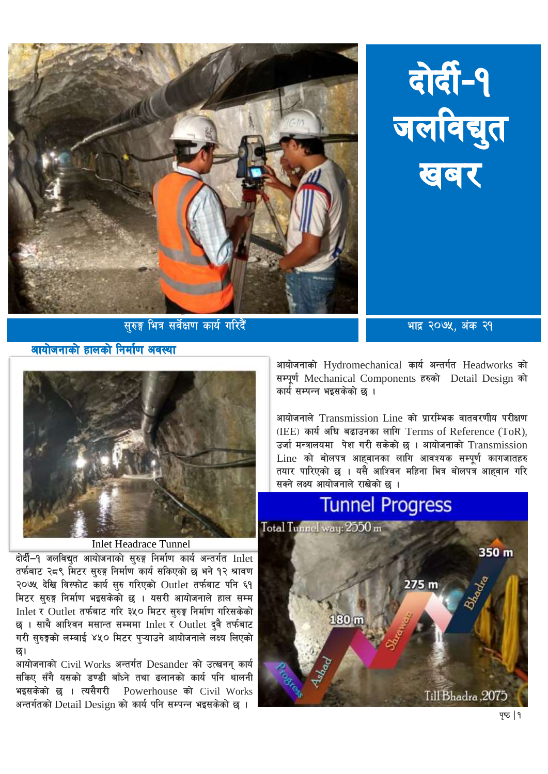





आयोजनाको हालको निर्माण अवस्था

**Inlet Headrace Tunnel** 

दोर्दी-१ जलविद्यत आयोजनाको सरुङ्ग निर्माण कार्य अन्तर्गत Inlet तर्फबाट २८९ मिटर सुरुङ्ग निर्माण कार्य सकिएको छ भने १२ श्रावण २०७५ देखि विस्फोट कार्य सुरु गरिएको Outlet तर्फबाट पनि ६१ मिटर सुरुङ्ग निर्माण भइसकेको छ । यसरी आयोजनाले हाल सम्म Inlet र Outlet तर्फबाट गरि ३५० मिटर सरुङ निर्माण गरिसकेको छ । साथै आश्विन मसान्त सम्ममा Inlet र Outlet द्वै तर्फबाट गरी सुरुङ्गको लम्बाई ४५० मिटर प्ऱ्याउने आयोजनाले लक्ष्य लिएको न्द्र।

आयोजनाको Civil Works अन्तर्गत Desander को उत्खनन कार्य सकिए सँगै यसको डण्डी बाँध्ने तथा ढलानको कार्य पनि थालनी भइसकेको छ । त्यसैगरी Powerhouse को Civil Works अन्तर्गतको Detail Design को कार्य पनि सम्पन्न भइसकेको छ ।

आयोजनाको Hydromechanical कार्य अन्तर्गत Headworks को सम्पूर्ण Mechanical Components हरुको Detail Design को कार्य सम्पन्न भइसकेको छ ।

आयोजनाले Transmission Line को प्रारम्भिक वातवरणीय परीक्षण  $(IEEE)$  कार्य अघि बढाउनका लागि Terms of Reference (ToR), उर्जा मन्त्रालयमा पेश गरी सकेको छ । आयोजनाको  $\bm{\mathrm{T}}$ ransmission  $Line$  को बोलपत्र आहवानका लागि आवश्यक सम्पर्ण कागजातहरु तयार पारिएको छ । यसै आश्विन महिना भित्र बोलपत्र आहवान गरि सक्ने लक्ष्य आयोजनाले राखेको छ ।



पृष्ठ | १